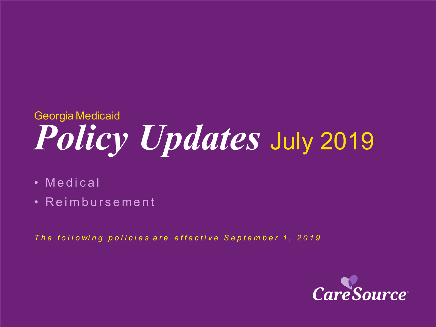# *Policy Updates* July 2019 Georgia Medicaid

- Medical
- Reimbursement

*T h e f o l l o wi n g p o l i c i e s a r e effective September 1 , 2019*

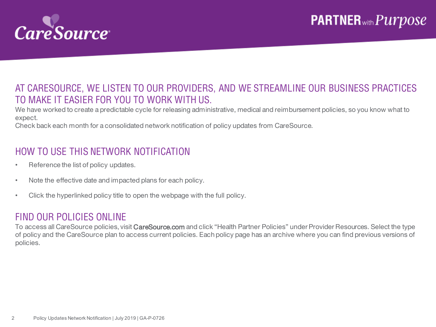

### AT CARESOURCE, WE LISTEN TO OUR PROVIDERS, AND WE STREAMLINE OUR BUSINESS PRACTICES TO MAKE IT EASIER FOR YOU TO WORK WITH US.

We have worked to create a predictable cycle for releasing administrative, medical and reimbursement policies, so you know what to expect.

Check back each month for a consolidated network notification of policy updates from CareSource.

### HOW TO USE THIS NETWORK NOTIFICATION

- Reference the list of policy updates.
- Note the effective date and impacted plans for each policy.
- Click the hyperlinked policy title to open the webpage with the full policy.

#### FIND OUR POLICIES ONLINE

To access all CareSource policies, visit CareSource.com and click "Health Partner Policies" under Provider Resources. Select the type of policy and the CareSource plan to access current policies. Each policy page has an archive where you can find previous versions of policies.